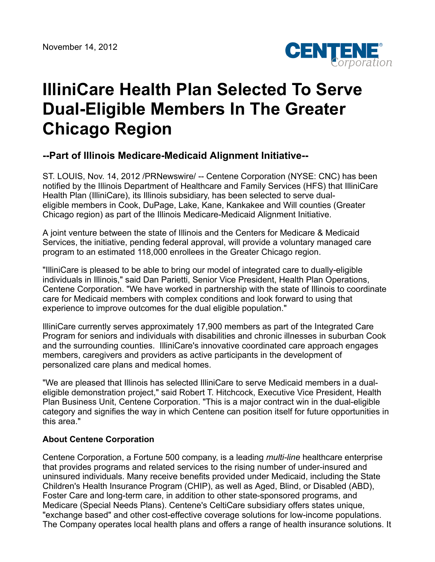

## **IlliniCare Health Plan Selected To Serve Dual-Eligible Members In The Greater Chicago Region**

## **--Part of Illinois Medicare-Medicaid Alignment Initiative--**

ST. LOUIS, Nov. 14, 2012 /PRNewswire/ -- Centene Corporation (NYSE: CNC) has been notified by the Illinois Department of Healthcare and Family Services (HFS) that IlliniCare Health Plan (IlliniCare), its Illinois subsidiary, has been selected to serve dualeligible members in Cook, DuPage, Lake, Kane, Kankakee and Will counties (Greater Chicago region) as part of the Illinois Medicare-Medicaid Alignment Initiative.

A joint venture between the state of Illinois and the Centers for Medicare & Medicaid Services, the initiative, pending federal approval, will provide a voluntary managed care program to an estimated 118,000 enrollees in the Greater Chicago region.

"IlliniCare is pleased to be able to bring our model of integrated care to dually-eligible individuals in Illinois," said Dan Parietti, Senior Vice President, Health Plan Operations, Centene Corporation. "We have worked in partnership with the state of Illinois to coordinate care for Medicaid members with complex conditions and look forward to using that experience to improve outcomes for the dual eligible population."

IlliniCare currently serves approximately 17,900 members as part of the Integrated Care Program for seniors and individuals with disabilities and chronic illnesses in suburban Cook and the surrounding counties. IlliniCare's innovative coordinated care approach engages members, caregivers and providers as active participants in the development of personalized care plans and medical homes.

"We are pleased that Illinois has selected IlliniCare to serve Medicaid members in a dualeligible demonstration project," said Robert T. Hitchcock, Executive Vice President, Health Plan Business Unit, Centene Corporation. "This is a major contract win in the dual-eligible category and signifies the way in which Centene can position itself for future opportunities in this area."

## **About Centene Corporation**

Centene Corporation, a Fortune 500 company, is a leading *multi-line* healthcare enterprise that provides programs and related services to the rising number of under-insured and uninsured individuals. Many receive benefits provided under Medicaid, including the State Children's Health Insurance Program (CHIP), as well as Aged, Blind, or Disabled (ABD), Foster Care and long-term care, in addition to other state-sponsored programs, and Medicare (Special Needs Plans). Centene's CeltiCare subsidiary offers states unique, "exchange based" and other cost-effective coverage solutions for low-income populations. The Company operates local health plans and offers a range of health insurance solutions. It